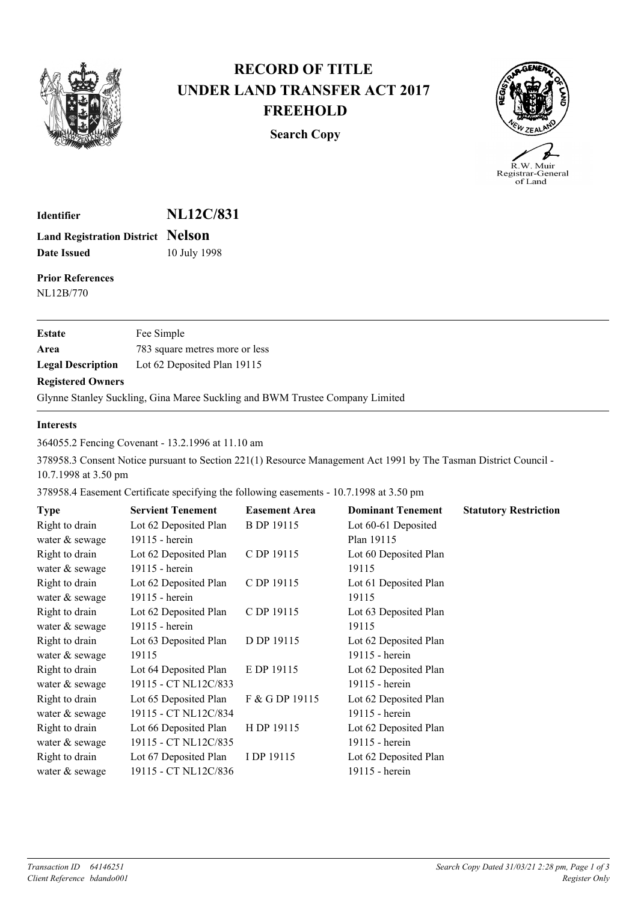

## **RECORD OF TITLE UNDER LAND TRANSFER ACT 2017 FREEHOLD**

**Search Copy**



R.W. Muir K. W. Muir<br>Registrar-General<br>of Land

**Identifier NL12C/831 Land Registration District Nelson Date Issued** 10 July 1998

**Prior References** NL12B/770

| Estate                   | Fee Simple                     |
|--------------------------|--------------------------------|
| Area                     | 783 square metres more or less |
| <b>Legal Description</b> | Lot 62 Deposited Plan 19115    |
|                          |                                |

## **Registered Owners**

Glynne Stanley Suckling, Gina Maree Suckling and BWM Trustee Company Limited

## **Interests**

364055.2 Fencing Covenant - 13.2.1996 at 11.10 am

378958.3 Consent Notice pursuant to Section 221(1) Resource Management Act 1991 by The Tasman District Council - 10.7.1998 at 3.50 pm

378958.4 Easement Certificate specifying the following easements - 10.7.1998 at 3.50 pm

| <b>Type</b>    | <b>Servient Tenement</b> | <b>Easement Area</b> | <b>Dominant Tenement</b> | <b>Statutory Restriction</b> |
|----------------|--------------------------|----------------------|--------------------------|------------------------------|
| Right to drain | Lot 62 Deposited Plan    | <b>B</b> DP 19115    | Lot 60-61 Deposited      |                              |
| water & sewage | 19115 - herein           |                      | Plan 19115               |                              |
| Right to drain | Lot 62 Deposited Plan    | C DP 19115           | Lot 60 Deposited Plan    |                              |
| water & sewage | 19115 - herein           |                      | 19115                    |                              |
| Right to drain | Lot 62 Deposited Plan    | C DP 19115           | Lot 61 Deposited Plan    |                              |
| water & sewage | 19115 - herein           |                      | 19115                    |                              |
| Right to drain | Lot 62 Deposited Plan    | C DP 19115           | Lot 63 Deposited Plan    |                              |
| water & sewage | 19115 - herein           |                      | 19115                    |                              |
| Right to drain | Lot 63 Deposited Plan    | D DP 19115           | Lot 62 Deposited Plan    |                              |
| water & sewage | 19115                    |                      | 19115 - herein           |                              |
| Right to drain | Lot 64 Deposited Plan    | E DP 19115           | Lot 62 Deposited Plan    |                              |
| water & sewage | 19115 - CT NL12C/833     |                      | 19115 - herein           |                              |
| Right to drain | Lot 65 Deposited Plan    | F & G DP 19115       | Lot 62 Deposited Plan    |                              |
| water & sewage | 19115 - CT NL12C/834     |                      | 19115 - herein           |                              |
| Right to drain | Lot 66 Deposited Plan    | H DP 19115           | Lot 62 Deposited Plan    |                              |
| water & sewage | 19115 - CT NL12C/835     |                      | 19115 - herein           |                              |
| Right to drain | Lot 67 Deposited Plan    | I DP 19115           | Lot 62 Deposited Plan    |                              |
| water & sewage | 19115 - CT NL12C/836     |                      | 19115 - herein           |                              |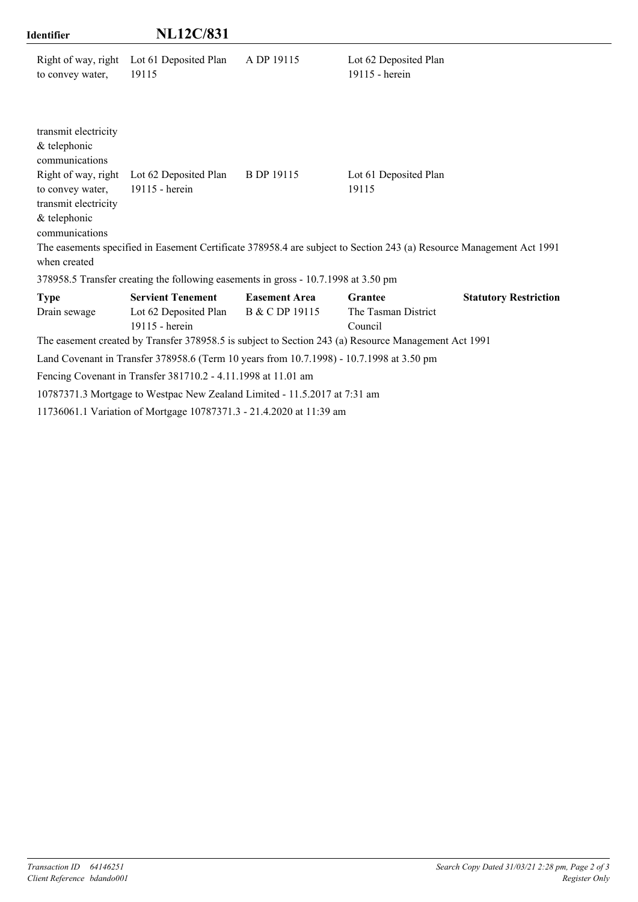| Identifier                                                                                                                                                  | <b>NL12C/831</b>                                                                         |                      |                                                                                                                                                        |                              |
|-------------------------------------------------------------------------------------------------------------------------------------------------------------|------------------------------------------------------------------------------------------|----------------------|--------------------------------------------------------------------------------------------------------------------------------------------------------|------------------------------|
| Right of way, right<br>to convey water,                                                                                                                     | Lot 61 Deposited Plan<br>19115                                                           | A DP 19115           | Lot 62 Deposited Plan<br>19115 - herein                                                                                                                |                              |
| transmit electricity<br>& telephonic<br>communications<br>Right of way, right<br>to convey water,<br>transmit electricity<br>& telephonic<br>communications | Lot 62 Deposited Plan<br>19115 - herein                                                  | <b>B</b> DP 19115    | Lot 61 Deposited Plan<br>19115<br>The easements specified in Easement Certificate 378958.4 are subject to Section 243 (a) Resource Management Act 1991 |                              |
| when created                                                                                                                                                |                                                                                          |                      |                                                                                                                                                        |                              |
|                                                                                                                                                             | 378958.5 Transfer creating the following easements in gross - 10.7.1998 at 3.50 pm       |                      |                                                                                                                                                        |                              |
| <b>Type</b>                                                                                                                                                 | <b>Servient Tenement</b>                                                                 | <b>Easement Area</b> | <b>Grantee</b>                                                                                                                                         | <b>Statutory Restriction</b> |
| Drain sewage                                                                                                                                                | Lot 62 Deposited Plan<br>19115 - herein                                                  | B & C DP 19115       | The Tasman District<br>Council                                                                                                                         |                              |
|                                                                                                                                                             |                                                                                          |                      | The easement created by Transfer 378958.5 is subject to Section 243 (a) Resource Management Act 1991                                                   |                              |
|                                                                                                                                                             | Land Covenant in Transfer 378958.6 (Term 10 years from 10.7.1998) - 10.7.1998 at 3.50 pm |                      |                                                                                                                                                        |                              |
|                                                                                                                                                             | Fencing Covenant in Transfer 381710.2 - 4.11.1998 at 11.01 am                            |                      |                                                                                                                                                        |                              |
|                                                                                                                                                             | 10787371.3 Mortgage to Westpac New Zealand Limited - 11.5.2017 at 7:31 am                |                      |                                                                                                                                                        |                              |

11736061.1 Variation of Mortgage 10787371.3 - 21.4.2020 at 11:39 am